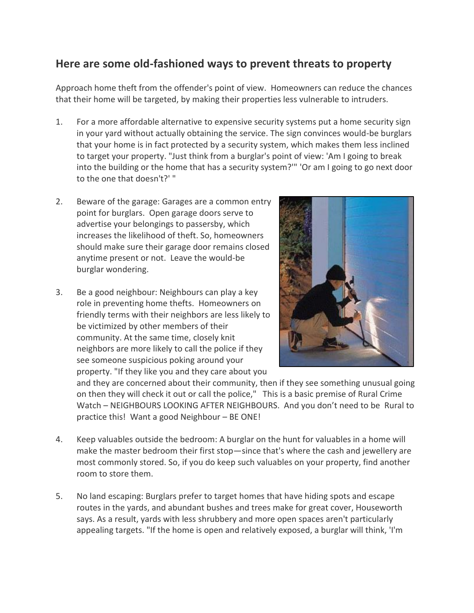## **Here are some old-fashioned ways to prevent threats to property**

Approach home theft from the offender's point of view. Homeowners can reduce the chances that their home will be targeted, by making their properties less vulnerable to intruders.

- 1. For a more affordable alternative to expensive security systems put a home security sign in your yard without actually obtaining the service. The sign convinces would-be burglars that your home is in fact protected by a security system, which makes them less inclined to target your property. "Just think from a burglar's point of view: 'Am I going to break into the building or the home that has a security system?'" 'Or am I going to go next door to the one that doesn't?' "
- 2. Beware of the garage: Garages are a common entry point for burglars. Open garage doors serve to advertise your belongings to passersby, which increases the likelihood of theft. So, homeowners should make sure their garage door remains closed anytime present or not. Leave the would-be burglar wondering.
- 3. Be a good neighbour: Neighbours can play a key role in preventing home thefts. Homeowners on friendly terms with their neighbors are less likely to be victimized by other members of their community. At the same time, closely knit neighbors are more likely to call the police if they see someone suspicious poking around your property. "If they like you and they care about you



and they are concerned about their community, then if they see something unusual going on then they will check it out or call the police," This is a basic premise of Rural Crime Watch – NEIGHBOURS LOOKING AFTER NEIGHBOURS. And you don't need to be Rural to practice this! Want a good Neighbour – BE ONE!

- 4. Keep valuables outside the bedroom: A burglar on the hunt for valuables in a home will make the master bedroom their first stop—since that's where the cash and jewellery are most commonly stored. So, if you do keep such valuables on your property, find another room to store them.
- 5. No land escaping: Burglars prefer to target homes that have hiding spots and escape routes in the yards, and abundant bushes and trees make for great cover, Houseworth says. As a result, yards with less shrubbery and more open spaces aren't particularly appealing targets. "If the home is open and relatively exposed, a burglar will think, 'I'm